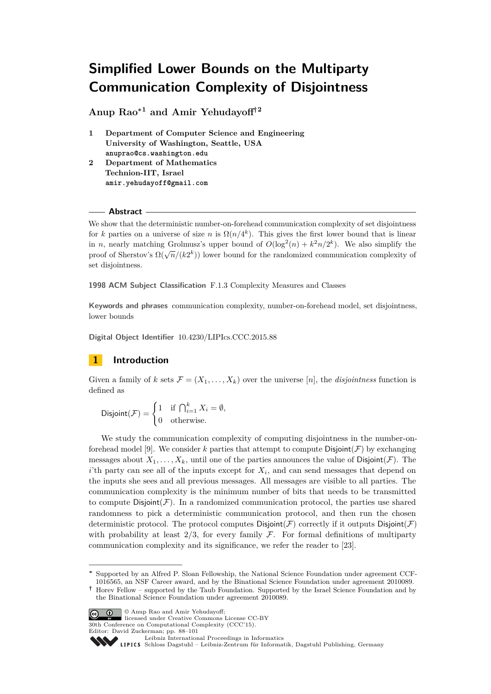# **Simplified Lower Bounds on the Multiparty Communication Complexity of Disjointness**

**Anup Rao<sup>∗</sup><sup>1</sup> and Amir Yehudayoff†<sup>2</sup>**

- **1 Department of Computer Science and Engineering University of Washington, Seattle, USA anuprao@cs.washington.edu**
- **2 Department of Mathematics Technion-IIT, Israel amir.yehudayoff@gmail.com**

# **Abstract**

We show that the deterministic number-on-forehead communication complexity of set disjointness for *k* parties on a universe of size *n* is  $\Omega(n/4^k)$ . This gives the first lower bound that is linear in *n*, nearly matching Grolmusz's upper bound of  $O(\log^2(n) + k^2n/2^k)$ . We also simplify the proof of Sherstov's  $\Omega(\sqrt{n}/(k2^k))$  lower bound for the randomized communication complexity of set disjointness.

**1998 ACM Subject Classification** F.1.3 Complexity Measures and Classes

**Keywords and phrases** communication complexity, number-on-forehead model, set disjointness, lower bounds

**Digital Object Identifier** [10.4230/LIPIcs.CCC.2015.88](http://dx.doi.org/10.4230/LIPIcs.CCC.2015.88)

# **1 Introduction**

Given a family of *k* sets  $\mathcal{F} = (X_1, \ldots, X_k)$  over the universe [n], the *disjointness* function is defined as

$$
\text{Disjoint}(\mathcal{F}) = \begin{cases} 1 & \text{if } \bigcap_{i=1}^k X_i = \emptyset, \\ 0 & \text{otherwise.} \end{cases}
$$

We study the communication complexity of computing disjointness in the number-on-forehead model [\[9\]](#page-9-0). We consider k parties that attempt to compute  $Disjoint(\mathcal{F})$  by exchanging messages about  $X_1, \ldots, X_k$ , until one of the parties announces the value of Disjoint(F). The *i*'th party can see all of the inputs except for  $X_i$ , and can send messages that depend on the inputs she sees and all previous messages. All messages are visible to all parties. The communication complexity is the minimum number of bits that needs to be transmitted to compute  $Disjoint(\mathcal{F})$ . In a randomized communication protocol, the parties use shared randomness to pick a deterministic communication protocol, and then run the chosen deterministic protocol. The protocol computes  $Disjoint(\mathcal{F})$  correctly if it outputs  $Disjoint(\mathcal{F})$ with probability at least  $2/3$ , for every family F. For formal definitions of multiparty communication complexity and its significance, we refer the reader to [\[23\]](#page-9-1).

**<sup>†</sup>** Horev Fellow – supported by the Taub Foundation. Supported by the Israel Science Foundation and by the Binational Science Foundation under agreement 2010089.



© Anup Rao and Amir Yehudayoff; licensed under Creative Commons License CC-BY 30th Conference on Computational Complexity (CCC'15).

Editor: David Zuckerman; pp. 88[–101](#page-13-0)<br>Leibniz International Proceedings in Informatics

[Leibniz International Proceedings in Informatics](http://www.dagstuhl.de/lipics/) [Schloss Dagstuhl – Leibniz-Zentrum für Informatik, Dagstuhl Publishing, Germany](http://www.dagstuhl.de)

**<sup>∗</sup>** Supported by an Alfred P. Sloan Fellowship, the National Science Foundation under agreement CCF-1016565, an NSF Career award, and by the Binational Science Foundation under agreement 2010089.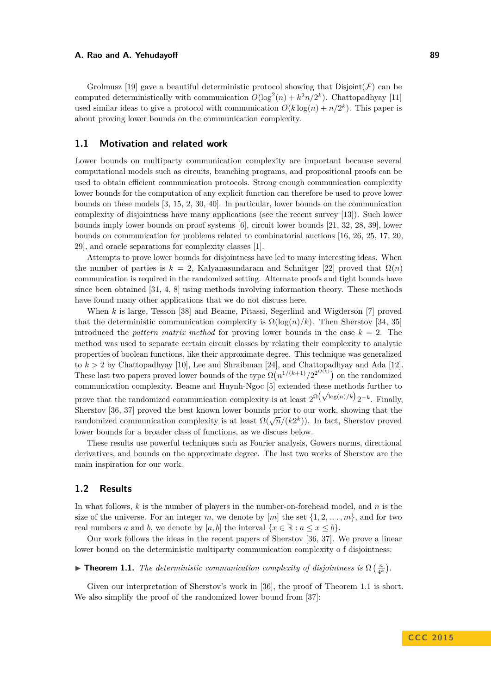Grolmusz [\[19\]](#page-9-2) gave a beautiful deterministic protocol showing that  $Disjoint(\mathcal{F})$  can be computed deterministically with communication  $O(\log^2(n) + k^2n/2^k)$ . Chattopadhyay [\[11\]](#page-9-3) used similar ideas to give a protocol with communication  $O(k \log(n) + n/2^k)$ . This paper is about proving lower bounds on the communication complexity.

# **1.1 Motivation and related work**

Lower bounds on multiparty communication complexity are important because several computational models such as circuits, branching programs, and propositional proofs can be used to obtain efficient communication protocols. Strong enough communication complexity lower bounds for the computation of any explicit function can therefore be used to prove lower bounds on these models [\[3,](#page-8-0) [15,](#page-9-4) [2,](#page-8-1) [30,](#page-10-0) [40\]](#page-10-1). In particular, lower bounds on the communication complexity of disjointness have many applications (see the recent survey [\[13\]](#page-9-5)). Such lower bounds imply lower bounds on proof systems [\[6\]](#page-9-6), circuit lower bounds [\[21,](#page-9-7) [32,](#page-10-2) [28,](#page-10-3) [39\]](#page-10-4), lower bounds on communication for problems related to combinatorial auctions [\[16,](#page-9-8) [26,](#page-9-9) [25,](#page-9-10) [17,](#page-9-11) [20,](#page-9-12) [29\]](#page-10-5), and oracle separations for complexity classes [\[1\]](#page-8-2).

Attempts to prove lower bounds for disjointness have led to many interesting ideas. When the number of parties is  $k = 2$ . Kalyanasundaram and Schnitger [\[22\]](#page-9-13) proved that  $\Omega(n)$ communication is required in the randomized setting. Alternate proofs and tight bounds have since been obtained [\[31,](#page-10-6) [4,](#page-8-3) [8\]](#page-9-14) using methods involving information theory. These methods have found many other applications that we do not discuss here.

When *k* is large, Tesson [\[38\]](#page-10-7) and Beame, Pitassi, Segerlind and Wigderson [\[7\]](#page-9-15) proved that the deterministic communication complexity is  $\Omega(\log(n)/k)$ . Then Sherstov [\[34,](#page-10-8) [35\]](#page-10-9) introduced the *pattern matrix method* for proving lower bounds in the case  $k = 2$ . The method was used to separate certain circuit classes by relating their complexity to analytic properties of boolean functions, like their approximate degree. This technique was generalized to  $k > 2$  by Chattopadhyay [\[10\]](#page-9-16), Lee and Shraibman [\[24\]](#page-9-17), and Chattopadhyay and Ada [\[12\]](#page-9-18). These last two papers proved lower bounds of the type  $\Omega(n^{1/(k+1)}/2^{2^{O(k)}})$  on the randomized communication complexity. Beame and Huynh-Ngoc [\[5\]](#page-9-19) extended these methods further to prove that the randomized communication complexity is at least  $2^{\Omega(\sqrt{\log(n)/k}})2^{-k}$ . Finally, Sherstov [\[36,](#page-10-10) [37\]](#page-10-11) proved the best known lower bounds prior to our work, showing that the randomized communication complexity is at least  $\Omega(\sqrt{n}/(k^2k))$ . In fact, Sherstov proved lower bounds for a broader class of functions, as we discuss below.

These results use powerful techniques such as Fourier analysis, Gowers norms, directional derivatives, and bounds on the approximate degree. The last two works of Sherstov are the main inspiration for our work.

# **1.2 Results**

In what follows, *k* is the number of players in the number-on-forehead model, and *n* is the size of the universe. For an integer *m*, we denote by  $[m]$  the set  $\{1, 2, \ldots, m\}$ , and for two real numbers *a* and *b*, we denote by [*a*, *b*] the interval  $\{x \in \mathbb{R} : a \leq x \leq b\}$ .

Our work follows the ideas in the recent papers of Sherstov [\[36,](#page-10-10) [37\]](#page-10-11). We prove a linear lower bound on the deterministic multiparty communication complexity o f disjointness:

# <span id="page-1-0"></span>**Find 1.1.** *The deterministic communication complexity of disjointness is*  $\Omega\left(\frac{n}{4^k}\right)$ .

Given our interpretation of Sherstov's work in [\[36\]](#page-10-10), the proof of Theorem [1.1](#page-1-0) is short. We also simplify the proof of the randomized lower bound from [\[37\]](#page-10-11):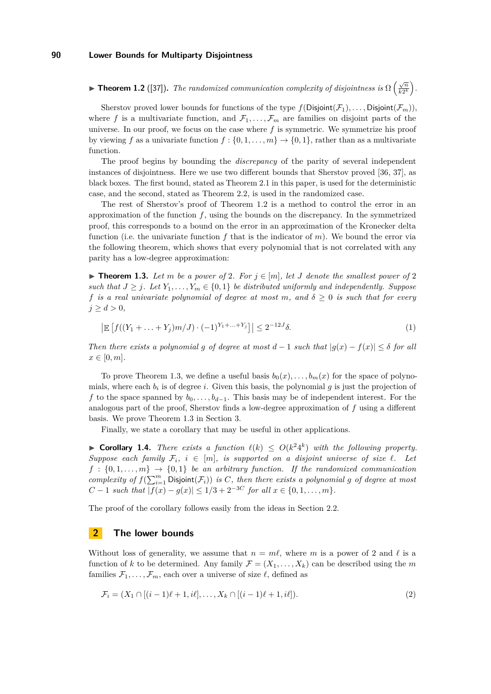<span id="page-2-0"></span>**► Theorem 1.2** ([\[37\]](#page-10-11)). *The randomized communication complexity of disjointness is*  $\Omega\left(\frac{\sqrt{n}}{k\Im k}\right)$  $\frac{\sqrt{n}}{k2^k}$ .

Sherstov proved lower bounds for functions of the type  $f(Disjoint(\mathcal{F}_1), \ldots, Disjoint(\mathcal{F}_m))$ , where f is a multivariate function, and  $\mathcal{F}_1, \ldots, \mathcal{F}_m$  are families on disjoint parts of the universe. In our proof, we focus on the case where *f* is symmetric. We symmetrize his proof by viewing f as a univariate function  $f : \{0, 1, \ldots, m\} \to \{0, 1\}$ , rather than as a multivariate function.

The proof begins by bounding the *discrepancy* of the parity of several independent instances of disjointness. Here we use two different bounds that Sherstov proved [\[36,](#page-10-10) [37\]](#page-10-11), as black boxes. The first bound, stated as Theorem [2.1](#page-3-0) in this paper, is used for the deterministic case, and the second, stated as Theorem [2.2,](#page-4-0) is used in the randomized case.

The rest of Sherstov's proof of Theorem [1.2](#page-2-0) is a method to control the error in an approximation of the function *f*, using the bounds on the discrepancy. In the symmetrized proof, this corresponds to a bound on the error in an approximation of the Kronecker delta function (i.e. the univariate function *f* that is the indicator of *m*). We bound the error via the following theorem, which shows that every polynomial that is not correlated with any parity has a low-degree approximation:

<span id="page-2-1"></span>▶ **Theorem 1.3.** Let m be a power of 2. For  $j \in [m]$ , let *J* denote the smallest power of 2 *such that*  $J \geq j$ *. Let*  $Y_1, \ldots, Y_m \in \{0, 1\}$  *be distributed uniformly and independently. Suppose f is a real univariate polynomial of degree at most m, and δ* ≥ 0 *is such that for every*  $j \ge d > 0$ ,

<span id="page-2-2"></span>
$$
\left| \mathbb{E}\left[ f((Y_1 + \ldots + Y_j)m/J) \cdot (-1)^{Y_1 + \ldots + Y_j} \right] \right| \le 2^{-12J}\delta. \tag{1}
$$

*Then there exists a polynomial g of degree at most*  $d-1$  *such that*  $|g(x)-f(x)| \leq \delta$  *for all*  $x \in [0, m]$ .

To prove Theorem [1.3,](#page-2-1) we define a useful basis  $b_0(x), \ldots, b_m(x)$  for the space of polynomials, where each  $b_i$  is of degree *i*. Given this basis, the polynomial  $g$  is just the projection of *f* to the space spanned by  $b_0, \ldots, b_{d-1}$ . This basis may be of independent interest. For the analogous part of the proof, Sherstov finds a low-degree approximation of *f* using a different basis. We prove Theorem [1.3](#page-2-1) in Section [3.](#page-6-0)

Finally, we state a corollary that may be useful in other applications.

▶ **Corollary 1.4.** *There exists a function*  $\ell(k)$  ≤  $O(k^24^k)$  *with the following property. Suppose each family*  $\mathcal{F}_i$ ,  $i \in [m]$ , *is supported on a disjoint universe of size*  $\ell$ *. Let*  $f : \{0, 1, \ldots, m\} \rightarrow \{0, 1\}$  *be an arbitrary function. If the randomized communication complexity of*  $f(\sum_{i=1}^{m} \text{Disjoint}(\mathcal{F}_i))$  *is C, then there exists a polynomial g of degree at most*  $C-1$  *such that*  $|f(x)-g(x)| \leq 1/3+2^{-3C}$  *for all*  $x \in \{0,1,\ldots,m\}$ *.* 

The proof of the corollary follows easily from the ideas in Section [2.2.](#page-4-1)

# **2 The lower bounds**

Without loss of generality, we assume that  $n = m\ell$ , where *m* is a power of 2 and  $\ell$  is a function of *k* to be determined. Any family  $\mathcal{F} = (X_1, \ldots, X_k)$  can be described using the *m* families  $\mathcal{F}_1, \ldots, \mathcal{F}_m$ , each over a universe of size  $\ell$ , defined as

<span id="page-2-3"></span>
$$
\mathcal{F}_i = (X_1 \cap [(i-1)\ell + 1, i\ell], \dots, X_k \cap [(i-1)\ell + 1, i\ell]). \tag{2}
$$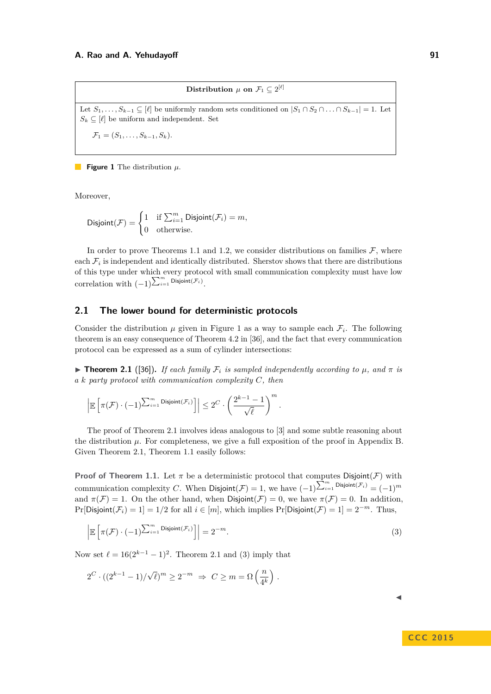$\textbf{Distribution} \ \mu \ \textbf{on} \ \mathcal{F}_1 \subseteq 2^{[\ell]}$ 

<span id="page-3-1"></span>Let  $S_1, \ldots, S_{k-1} \subseteq [\ell]$  be uniformly random sets conditioned on  $|S_1 \cap S_2 \cap \ldots \cap S_{k-1}| = 1$ . Let  $S_k \subseteq [\ell]$  be uniform and independent. Set

 $\mathcal{F}_1 = (S_1, \ldots, S_{k-1}, S_k).$ 

**Figure 1** The distribution *µ*.

Moreover,

$$
\text{Disjoint}(\mathcal{F}) = \begin{cases} 1 & \text{if } \sum_{i=1}^{m} \text{Disjoint}(\mathcal{F}_i) = m, \\ 0 & \text{otherwise.} \end{cases}
$$

In order to prove Theorems [1.1](#page-1-0) and [1.2,](#page-2-0) we consider distributions on families  $\mathcal{F}$ , where each  $\mathcal{F}_i$  is independent and identically distributed. Sherstov shows that there are distributions of this type under which every protocol with small communication complexity must have low correlation with  $(-1)^{\sum_{i=1}^{m} \mathsf{Disjoint}(\mathcal{F}_i)}$ .

# **2.1 The lower bound for deterministic protocols**

Consider the distribution  $\mu$  given in Figure [1](#page-3-1) as a way to sample each  $\mathcal{F}_i$ . The following theorem is an easy consequence of Theorem 4.2 in [\[36\]](#page-10-10), and the fact that every communication protocol can be expressed as a sum of cylinder intersections:

<span id="page-3-0"></span> $\triangleright$  **Theorem 2.1** ([\[36\]](#page-10-10)). If each family  $\mathcal{F}_i$  is sampled independently according to  $\mu$ , and  $\pi$  is *a k party protocol with communication complexity C, then*

$$
\left| \mathbb{E}\left[\pi(\mathcal{F})\cdot (-1)^{\sum_{i=1}^m \mathrm{Disjoint}(\mathcal{F}_i)}\right] \right| \leq 2^C\cdot \left(\frac{2^{k-1}-1}{\sqrt{\ell}}\right)^m.
$$

The proof of Theorem [2.1](#page-3-0) involves ideas analogous to [\[3\]](#page-8-0) and some subtle reasoning about the distribution  $\mu$ . For completeness, we give a full exposition of the proof in Appendix [B.](#page-11-0) Given Theorem [2.1,](#page-3-0) Theorem [1.1](#page-1-0) easily follows:

**Proof of Theorem [1.1.](#page-1-0)** Let  $\pi$  be a deterministic protocol that computes Disjoint( $\mathcal{F}$ ) with communication complexity *C*. When  $Disjoint(\mathcal{F}) = 1$ , we have  $(-1)^{\sum_{i=1}^{m} \text{Disjoint}(\mathcal{F}_i)} = (-1)^m$ and  $\pi(\mathcal{F}) = 1$ . On the other hand, when Disjoint( $\mathcal{F}$ ) = 0, we have  $\pi(\mathcal{F}) = 0$ . In addition,  $Pr[\text{Disjoint}(\mathcal{F}_i) = 1] = 1/2$  for all  $i \in [m]$ , which implies  $Pr[\text{Disjoint}(\mathcal{F}) = 1] = 2^{-m}$ . Thus,

<span id="page-3-2"></span>
$$
\left| \mathbb{E}\left[\pi(\mathcal{F}) \cdot (-1)^{\sum_{i=1}^{m} \text{Disjoint}(\mathcal{F}_i)}\right] \right| = 2^{-m}.
$$
\n(3)

Now set  $\ell = 16(2^{k-1} - 1)^2$ . Theorem [2.1](#page-3-0) and [\(3\)](#page-3-2) imply that

$$
2^{C} \cdot ((2^{k-1} - 1) / \sqrt{\ell})^{m} \ge 2^{-m} \Rightarrow C \ge m = \Omega\left(\frac{n}{4^k}\right).
$$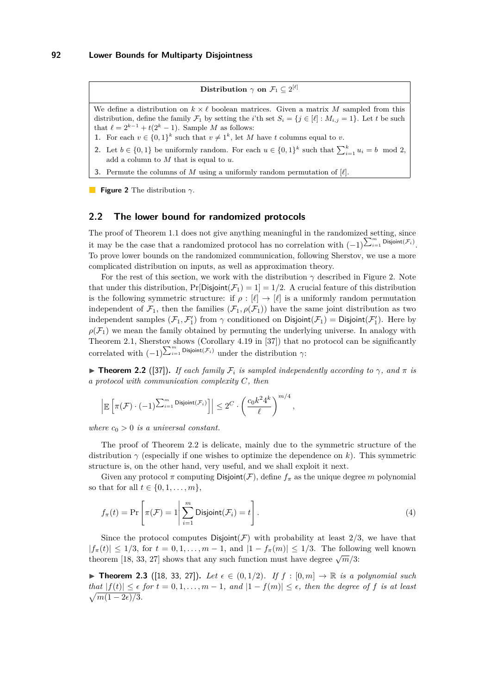$\textbf{Distribution} \, \, \gamma \, \, \textbf{on} \, \, \mathcal{F}_1 \subseteq 2^{[\ell]}$ 

<span id="page-4-2"></span>We define a distribution on  $k \times \ell$  boolean matrices. Given a matrix M sampled from this distribution, define the family  $\mathcal{F}_1$  by setting the *i*'th set  $S_i = \{j \in [\ell] : M_{i,j} = 1\}$ . Let *t* be such that  $\ell = 2^{k-1} + t(2^k - 1)$ . Sample *M* as follows:

- **1.** For each  $v \in \{0,1\}^k$  such that  $v \neq 1^k$ , let *M* have *t* columns equal to *v*.
- 2. Let  $b \in \{0, 1\}$  be uniformly random. For each  $u \in \{0, 1\}^k$  such that  $\sum_{i=1}^k u_i = b \mod 2$ , add a column to *M* that is equal to *u*.
- **3.** Permute the columns of  $M$  using a uniformly random permutation of  $[\ell]$ .

**Figure 2** The distribution *γ*.

# <span id="page-4-1"></span>**2.2 The lower bound for randomized protocols**

The proof of Theorem [1.1](#page-1-0) does not give anything meaningful in the randomized setting, since it may be the case that a randomized protocol has no correlation with  $(-1)^{\sum_{i=1}^{m} \text{Disjoint}(\mathcal{F}_i)}$ . To prove lower bounds on the randomized communication, following Sherstov, we use a more complicated distribution on inputs, as well as approximation theory.

For the rest of this section, we work with the distribution  $\gamma$  described in Figure [2.](#page-4-2) Note that under this distribution,  $Pr[Disjoint(\mathcal{F}_1) = 1] = 1/2$ . A crucial feature of this distribution is the following symmetric structure: if  $\rho : [\ell] \to [\ell]$  is a uniformly random permutation independent of  $\mathcal{F}_1$ , then the families  $(\mathcal{F}_1, \rho(\mathcal{F}_1))$  have the same joint distribution as two independent samples  $(\mathcal{F}_1, \mathcal{F}'_1)$  from  $\gamma$  conditioned on Disjoint $(\mathcal{F}_1)$  = Disjoint $(\mathcal{F}'_1)$ . Here by  $\rho(\mathcal{F}_1)$  we mean the family obtained by permuting the underlying universe. In analogy with Theorem [2.1,](#page-3-0) Sherstov shows (Corollary 4.19 in [\[37\]](#page-10-11)) that no protocol can be significantly correlated with  $(-1)^{\sum_{i=1}^{m} \text{Disjoint}(\mathcal{F}_i)}$  under the distribution  $\gamma$ :

<span id="page-4-0"></span>**Figure 1.2** ([\[37\]](#page-10-11)). *If each family*  $\mathcal{F}_i$  *is sampled independently according to*  $\gamma$ *, and*  $\pi$  *is a protocol with communication complexity C, then*

<span id="page-4-4"></span>*,*

$$
\left| \mathbb{E}\left[\pi(\mathcal{F}) \cdot (-1)^{\sum_{i=1}^m \mathrm{Disjoint}(\mathcal{F}_i)}\right] \right| \leq 2^C \cdot \left(\frac{c_0 k^2 4^k}{\ell}\right)^{m/4}
$$

*where*  $c_0 > 0$  *is a universal constant.* 

The proof of Theorem [2.2](#page-4-0) is delicate, mainly due to the symmetric structure of the distribution *γ* (especially if one wishes to optimize the dependence on *k*). This symmetric structure is, on the other hand, very useful, and we shall exploit it next.

Given any protocol  $\pi$  computing Disjoint( $\mathcal{F}$ ), define  $f_{\pi}$  as the unique degree  $m$  polynomial so that for all  $t \in \{0, 1, \ldots, m\}$ ,

$$
f_{\pi}(t) = \Pr\left[\pi(\mathcal{F}) = 1 \middle| \sum_{i=1}^{m} \text{Disjoint}(\mathcal{F}_i) = t\right].
$$
 (4)

Since the protocol computes  $Disjoint(F)$  with probability at least  $2/3$ , we have that  $|f_{\pi}(t)| \leq 1/3$ , for  $t = 0, 1, \ldots, m-1$ , and  $|1 - f_{\pi}(m)| \leq 1/3$ . The following well known theorem [\[18,](#page-9-20) [33,](#page-10-12) [27\]](#page-9-21) shows that any such function must have degree  $\sqrt{m}/3$ :

<span id="page-4-3"></span>▶ **Theorem 2.3** ([\[18,](#page-9-20) [33,](#page-10-12) [27\]](#page-9-21)). Let  $\epsilon \in (0,1/2)$ . If  $f : [0,m] \to \mathbb{R}$  is a polynomial such  $|f(t)| \leq \epsilon$  *for*  $t = 0, 1, \ldots, m - 1$ , and  $|1 - f(m)| \leq \epsilon$ , then the degree of *f is at least*  $\sqrt{m(1-2\epsilon)/3}$ .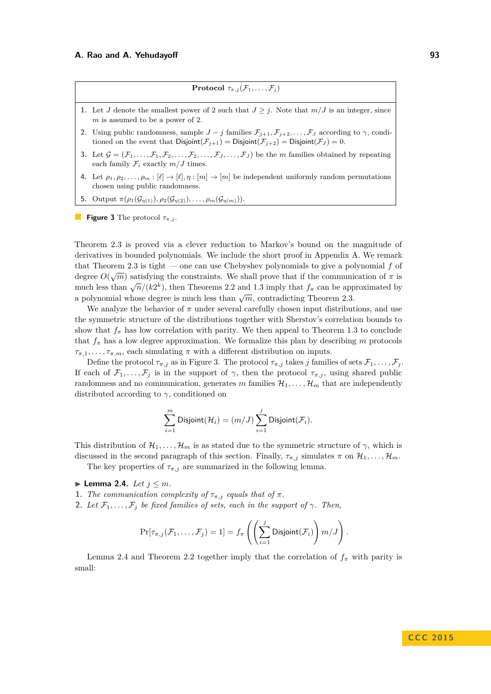**Protocol**  $\tau_{\pi,j}(\mathcal{F}_1,\ldots,\mathcal{F}_j)$ 

- <span id="page-5-0"></span>**1.** Let *J* denote the smallest power of 2 such that  $J \geq j$ . Note that  $m/J$  is an integer, since *m* is assumed to be a power of 2.
- **2.** Using public randomness, sample  $J j$  families  $\mathcal{F}_{j+1}, \mathcal{F}_{j+2}, \ldots, \mathcal{F}_J$  according to  $\gamma$ , conditioned on the event that  $Disjoint(\mathcal{F}_{i+1}) = Disjoint(\mathcal{F}_{i+2}) = Disjoint(\mathcal{F}_{J}) = 0.$
- **3.** Let  $\mathcal{G} = (\mathcal{F}_1, \ldots, \mathcal{F}_1, \mathcal{F}_2, \ldots, \mathcal{F}_2, \ldots, \mathcal{F}_J, \ldots, \mathcal{F}_J)$  be the *m* families obtained by repeating each family  $\mathcal{F}_i$  exactly  $m/J$  times.
- **4.** Let  $\rho_1, \rho_2, \ldots, \rho_m : [\ell] \to [\ell], \eta : [m] \to [m]$  be independent uniformly random permutations chosen using public randomness.
- **5.** Output  $\pi(\rho_1(\mathcal{G}_{\eta(1)}), \rho_2(\mathcal{G}_{\eta(2)}), \ldots, \rho_m(\mathcal{G}_{\eta(m)})).$

**Figure 3** The protocol  $\tau_{\pi,j}$ .

Theorem [2.3](#page-4-3) is proved via a clever reduction to Markov's bound on the magnitude of derivatives in bounded polynomials. We include the short proof in Appendix [A.](#page-10-13) We remark that Theorem [2.3](#page-4-3) is tight — one can use Chebyshev polynomials to give a polynomial  $f$  of degree  $O(\sqrt{m})$  satisfying the constraints. We shall prove that if the communication of  $\pi$  is much less than  $\sqrt{n}/(k^2)$ , then Theorems [2.2](#page-4-0) and [1.3](#page-2-1) imply that  $f_\pi$  can be approximated by a polynomial whose degree is much less than  $\sqrt{m}$ , contradicting Theorem [2.3.](#page-4-3)

We analyze the behavior of  $\pi$  under several carefully chosen input distributions, and use the symmetric structure of the distributions together with Sherstov's correlation bounds to show that  $f_{\pi}$  has low correlation with parity. We then appeal to Theorem [1.3](#page-2-1) to conclude that  $f_{\pi}$  has a low degree approximation. We formalize this plan by describing  $m$  protocols  $\tau_{\pi,1}, \ldots, \tau_{\pi,m}$ , each simulating  $\pi$  with a different distribution on inputs.

Define the protocol  $\tau_{\pi,j}$  as in Figure [3.](#page-5-0) The protocol  $\tau_{\pi,j}$  takes *j* families of sets  $\mathcal{F}_1, \ldots, \mathcal{F}_j$ . If each of  $\mathcal{F}_1, \ldots, \mathcal{F}_j$  is in the support of  $\gamma$ , then the protocol  $\tau_{\pi,j}$ , using shared public randomness and no communication, generates *m* families  $\mathcal{H}_1, \ldots, \mathcal{H}_m$  that are independently distributed according to *γ*, conditioned on

$$
\sum_{i=1}^m \mathrm{Disjoint}(\mathcal{H}_i) = (m/J) \sum_{i=1}^j \mathrm{Disjoint}(\mathcal{F}_i).
$$

This distribution of  $\mathcal{H}_1, \ldots, \mathcal{H}_m$  is as stated due to the symmetric structure of  $\gamma$ , which is discussed in the second paragraph of this section. Finally,  $\tau_{\pi,j}$  simulates  $\pi$  on  $\mathcal{H}_1, \ldots, \mathcal{H}_m$ . The key properties of  $\tau_{\pi,i}$  are summarized in the following lemma.

<span id="page-5-1"></span> $\blacktriangleright$  **Lemma 2.4.** *Let*  $j \leq m$ *.* 

- **1.** *The communication complexity of*  $\tau_{\pi,j}$  *equals that of*  $\pi$ *.*
- **2.** *Let*  $\mathcal{F}_1, \ldots, \mathcal{F}_j$  *be fixed families of sets, each in the support of*  $\gamma$ *. Then,*

$$
\Pr[\tau_{\pi,j}(\mathcal{F}_1,\ldots,\mathcal{F}_j)=1]=f_{\pi}\left(\left(\sum_{i=1}^j\text{Disjoint}(\mathcal{F}_i)\right)m/J\right).
$$

Lemma [2.4](#page-5-1) and Theorem [2.2](#page-4-0) together imply that the correlation of  $f_\pi$  with parity is small: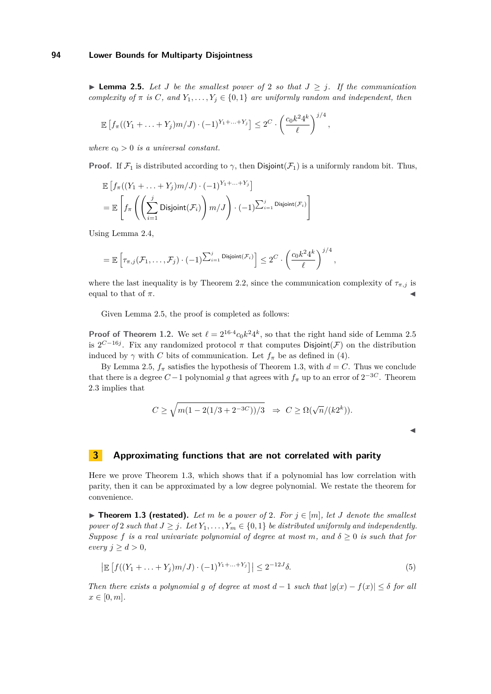<span id="page-6-1"></span>▶ **Lemma 2.5.** Let *J* be the smallest power of 2 so that  $J \geq j$ . If the communication *complexity of*  $\pi$  *is*  $C$ *, and*  $Y_1, \ldots, Y_j \in \{0, 1\}$  *are uniformly random and independent, then* 

$$
\mathbb{E}\left[f_{\pi}((Y_1+\ldots+Y_j)m/J)\cdot(-1)^{Y_1+\ldots+Y_j}\right]\leq 2^C\cdot\left(\frac{c_0k^24^k}{\ell}\right)^{j/4},
$$

*where*  $c_0 > 0$  *is a universal constant.* 

**Proof.** If  $\mathcal{F}_1$  is distributed according to  $\gamma$ , then Disjoint( $\mathcal{F}_1$ ) is a uniformly random bit. Thus,

$$
\mathbb{E}\left[f_{\pi}((Y_1 + \ldots + Y_j)m/J) \cdot (-1)^{Y_1 + \ldots + Y_j}\right]
$$
\n
$$
= \mathbb{E}\left[f_{\pi}\left(\left(\sum_{i=1}^j \text{Disjoint}(\mathcal{F}_i)\right)m/J\right) \cdot (-1)^{\sum_{i=1}^j \text{Disjoint}(\mathcal{F}_i)}\right]
$$

Using Lemma [2.4,](#page-5-1)

$$
= \mathbb{E}\left[\tau_{\pi,j}(\mathcal{F}_1,\ldots,\mathcal{F}_j)\cdot (-1)^{\sum_{i=1}^j \textsf{Disjoint}(\mathcal{F}_i)}\right] \leq 2^C\cdot\left(\frac{c_0k^24^k}{\ell}\right)^{j/4},
$$

where the last inequality is by Theorem [2.2,](#page-4-0) since the communication complexity of  $\tau_{\pi,j}$  is equal to that of  $\pi$ .

Given Lemma [2.5,](#page-6-1) the proof is completed as follows:

**Proof of Theorem [1.2.](#page-2-0)** We set  $\ell = 2^{16 \cdot 4} c_0 k^2 4^k$ , so that the right hand side of Lemma [2.5](#page-6-1) is  $2^{C-16j}$ . Fix any randomized protocol  $\pi$  that computes Disjoint(F) on the distribution induced by  $\gamma$  with *C* bits of communication. Let  $f_{\pi}$  be as defined in [\(4\)](#page-4-4).

By Lemma [2.5,](#page-6-1)  $f_{\pi}$  satisfies the hypothesis of Theorem [1.3,](#page-2-1) with  $d = C$ . Thus we conclude that there is a degree  $C-1$  polynomial g that agrees with  $f_{\pi}$  up to an error of  $2^{-3C}$ . Theorem [2.3](#page-4-3) implies that

$$
C \ge \sqrt{m(1 - 2(1/3 + 2^{-3C}))/3} \Rightarrow C \ge \Omega(\sqrt{n}/(k2^k)).
$$

 $\blacktriangleleft$ 

# <span id="page-6-0"></span>**3 Approximating functions that are not correlated with parity**

Here we prove Theorem [1.3,](#page-2-1) which shows that if a polynomial has low correlation with parity, then it can be approximated by a low degree polynomial. We restate the theorem for convenience.

▶ **Theorem [1.3](#page-2-1) (restated).** Let *m* be a power of 2. For  $j \in [m]$ , let *J* denote the smallest *power of* 2 *such that*  $J \geq j$ *. Let*  $Y_1, \ldots, Y_m \in \{0, 1\}$  *be distributed uniformly and independently. Suppose f is a real univariate polynomial of degree at most m, and*  $\delta \geq 0$  *is such that for*  $every \, j \geq d > 0,$ 

$$
\left| \mathbb{E}\left[ f((Y_1 + \ldots + Y_j)m/J) \cdot (-1)^{Y_1 + \ldots + Y_j} \right] \right| \le 2^{-12J}\delta. \tag{5}
$$

*Then there exists a polynomial g of degree at most*  $d-1$  *such that*  $|g(x)-f(x)| \leq \delta$  *for all*  $x \in [0, m]$ .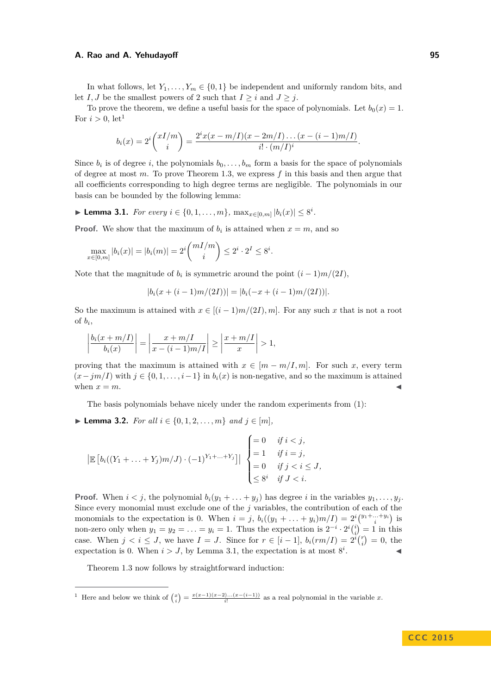In what follows, let  $Y_1, \ldots, Y_m \in \{0, 1\}$  be independent and uniformly random bits, and let *I*, *J* be the smallest powers of 2 such that  $I \geq i$  and  $J \geq j$ .

To prove the theorem, we define a useful basis for the space of polynomials. Let  $b_0(x) = 1$ . For  $i > 0$ , let<sup>[1](#page-7-0)</sup>

$$
b_i(x) = 2^i {xI/m \choose i} = \frac{2^i x(x - m/I)(x - 2m/I) \dots (x - (i-1)m/I)}{i! \cdot (m/I)^i}.
$$

Since  $b_i$  is of degree *i*, the polynomials  $b_0, \ldots, b_m$  form a basis for the space of polynomials of degree at most *m*. To prove Theorem [1.3,](#page-2-1) we express *f* in this basis and then argue that all coefficients corresponding to high degree terms are negligible. The polynomials in our basis can be bounded by the following lemma:

<span id="page-7-1"></span>▶ **Lemma 3.1.** *For every*  $i \in \{0, 1, ..., m\}$ *,*  $\max_{x \in [0,m]} |b_i(x)| \leq 8^i$ *.* 

**Proof.** We show that the maximum of  $b_i$  is attained when  $x = m$ , and so

$$
\max_{x \in [0,m]} |b_i(x)| = |b_i(m)| = 2^i {mI/m \choose i} \le 2^i \cdot 2^I \le 8^i.
$$

Note that the magnitude of  $b_i$  is symmetric around the point  $(i-1)m/(2I)$ ,

$$
|b_i(x + (i-1)m/(2I))| = |b_i(-x + (i-1)m/(2I))|.
$$

So the maximum is attained with  $x \in [(i-1)m/(2I), m]$ . For any such *x* that is not a root of  $b_i$ ,

$$
\left|\frac{b_i(x+m/I)}{b_i(x)}\right| = \left|\frac{x+m/I}{x-(i-1)m/I}\right| \ge \left|\frac{x+m/I}{x}\right| > 1,
$$

proving that the maximum is attained with  $x \in [m - m/I, m]$ . For such x, every term  $(x-jm/I)$  with  $j \in \{0,1,\ldots,i-1\}$  in  $b_i(x)$  is non-negative, and so the maximum is attained when  $x = m$ .

The basis polynomials behave nicely under the random experiments from [\(1\)](#page-2-2):

<span id="page-7-2"></span>▶ **Lemma 3.2.** *For all*  $i \in \{0, 1, 2, ..., m\}$  *and*  $i \in [m]$ *,* 

$$
\left| \mathbb{E} \left[ b_i((Y_1 + \ldots + Y_j)m/J) \cdot (-1)^{Y_1 + \ldots + Y_j} \right] \right| \begin{cases} = 0 & \text{if } i < j, \\ = 1 & \text{if } i = j, \\ = 0 & \text{if } j < i \le J, \\ \le 8^i & \text{if } J < i. \end{cases}
$$

**Proof.** When  $i < j$ , the polynomial  $b_i(y_1 + \ldots + y_j)$  has degree *i* in the variables  $y_1, \ldots, y_j$ . Since every monomial must exclude one of the *j* variables, the contribution of each of the monomials to the expectation is 0. When  $i = j$ ,  $b_i((y_1 + \ldots + y_i)m/I) = 2^i {y_1 + \ldots + y_i \choose i}$  is non-zero only when  $y_1 = y_2 = \ldots = y_i = 1$ . Thus the expectation is  $2^{-i} \cdot 2^i {i \choose i} = 1$  in this case. When  $j < i \leq J$ , we have  $I = J$ . Since for  $r \in [i-1]$ ,  $b_i(rm/I) = 2^{i} {r \choose i} = 0$ , the expectation is 0. When  $i > J$ , by Lemma [3.1,](#page-7-1) the expectation is at most  $8^{i}$ .  $\sim$   $\sim$   $\sim$ 

Theorem [1.3](#page-2-1) now follows by straightforward induction:

<span id="page-7-0"></span><sup>1</sup> Here and below we think of  $\binom{x}{i} = \frac{x(x-1)(x-2)...(x-(i-1))}{i!}$  as a real polynomial in the variable *x*.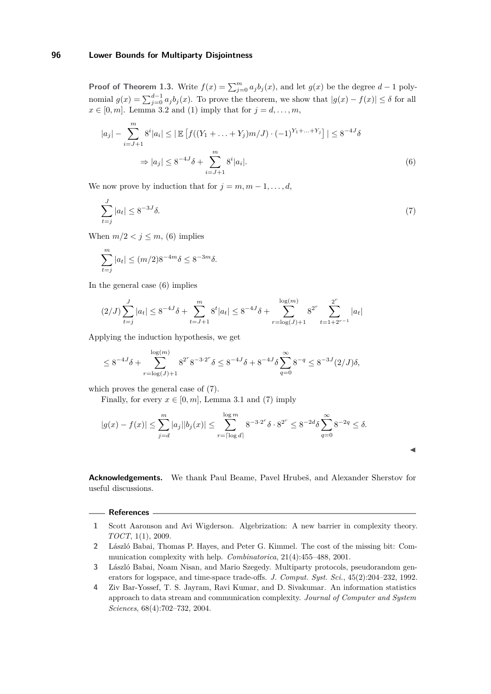**Proof of Theorem [1.3.](#page-2-1)** Write  $f(x) = \sum_{j=0}^{m} a_j b_j(x)$ , and let  $g(x)$  be the degree  $d-1$  polynomial  $g(x) = \sum_{j=0}^{d-1} a_j b_j(x)$ . To prove the theorem, we show that  $|g(x) - f(x)| \le \delta$  for all  $x \in [0, m]$ . Lemma [3.2](#page-7-2) and [\(1\)](#page-2-2) imply that for  $j = d, \ldots, m$ ,

$$
|a_j| - \sum_{i=J+1}^m 8^i |a_i| \le |\mathbb{E}\left[f((Y_1 + \dots + Y_j)m/J) \cdot (-1)^{Y_1 + \dots + Y_j}\right]| \le 8^{-4J}\delta
$$
  

$$
\Rightarrow |a_j| \le 8^{-4J}\delta + \sum_{i=J+1}^m 8^i |a_i|. \tag{6}
$$

We now prove by induction that for  $j = m, m - 1, \ldots, d$ ,

$$
\sum_{t=j}^{J} |a_t| \le 8^{-3J} \delta. \tag{7}
$$

When  $m/2 < j \le m$ , [\(6\)](#page-8-4) implies

$$
\sum_{t=j}^{m} |a_t| \le (m/2) 8^{-4m} \delta \le 8^{-3m} \delta.
$$

In the general case [\(6\)](#page-8-4) implies

$$
(2/J)\sum_{t=j}^{J} |a_t| \le 8^{-4J}\delta + \sum_{t=J+1}^{m} 8^t |a_t| \le 8^{-4J}\delta + \sum_{r=\log(J)+1}^{\log(m)} 8^{2^r} \sum_{t=1+2^{r-1}}^{2^r} |a_t|
$$

Applying the induction hypothesis, we get

$$
\leq 8^{-4J}\delta + \sum_{r=\log(J)+1}^{\log(m)} 8^{2^r} 8^{-3 \cdot 2^r} \delta \leq 8^{-4J} \delta + 8^{-4J} \delta \sum_{q=0}^{\infty} 8^{-q} \leq 8^{-3J} (2/J) \delta,
$$

which proves the general case of [\(7\)](#page-8-5).

Finally, for every  $x \in [0, m]$ , Lemma [3.1](#page-7-1) and [\(7\)](#page-8-5) imply

$$
|g(x) - f(x)| \le \sum_{j=d}^{m} |a_j||b_j(x)| \le \sum_{r=\lceil \log d \rceil}^{\log m} 8^{-3 \cdot 2^r} \delta \cdot 8^{2^r} \le 8^{-2d} \delta \sum_{q=0}^{\infty} 8^{-2q} \le \delta.
$$

**Acknowledgements.** We thank Paul Beame, Pavel Hrubeš, and Alexander Sherstov for useful discussions.

<span id="page-8-5"></span><span id="page-8-4"></span> $\blacktriangleleft$ 

#### **References**

- <span id="page-8-2"></span>**1** Scott Aaronson and Avi Wigderson. Algebrization: A new barrier in complexity theory. *TOCT*, 1(1), 2009.
- <span id="page-8-1"></span>**2** László Babai, Thomas P. Hayes, and Peter G. Kimmel. The cost of the missing bit: Communication complexity with help. *Combinatorica*, 21(4):455–488, 2001.
- <span id="page-8-0"></span>**3** László Babai, Noam Nisan, and Mario Szegedy. Multiparty protocols, pseudorandom generators for logspace, and time-space trade-offs. *J. Comput. Syst. Sci.*, 45(2):204–232, 1992.
- <span id="page-8-3"></span>**4** Ziv Bar-Yossef, T. S. Jayram, Ravi Kumar, and D. Sivakumar. An information statistics approach to data stream and communication complexity. *Journal of Computer and System Sciences*, 68(4):702–732, 2004.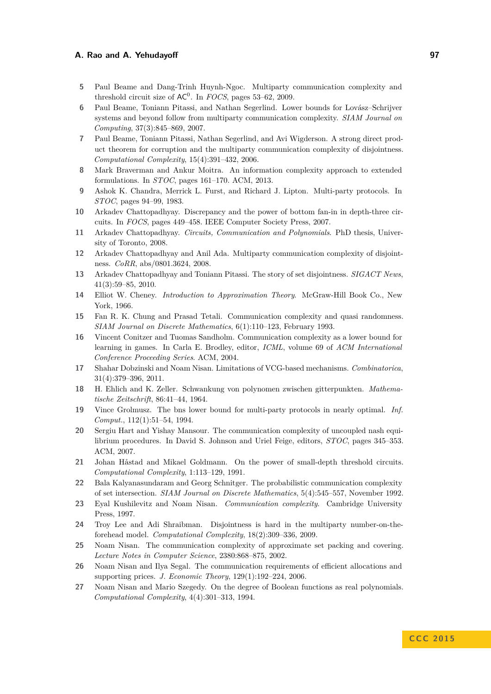- <span id="page-9-19"></span>**5** Paul Beame and Dang-Trinh Huynh-Ngoc. Multiparty communication complexity and threshold circuit size of  $AC^0$ . In *FOCS*, pages 53–62, 2009.
- <span id="page-9-6"></span>**6** Paul Beame, Toniann Pitassi, and Nathan Segerlind. Lower bounds for Lovász–Schrijver systems and beyond follow from multiparty communication complexity. *SIAM Journal on Computing*, 37(3):845–869, 2007.
- <span id="page-9-15"></span>**7** Paul Beame, Toniann Pitassi, Nathan Segerlind, and Avi Wigderson. A strong direct product theorem for corruption and the multiparty communication complexity of disjointness. *Computational Complexity*, 15(4):391–432, 2006.
- <span id="page-9-14"></span>**8** Mark Braverman and Ankur Moitra. An information complexity approach to extended formulations. In *STOC*, pages 161–170. ACM, 2013.
- <span id="page-9-0"></span>**9** Ashok K. Chandra, Merrick L. Furst, and Richard J. Lipton. Multi-party protocols. In *STOC*, pages 94–99, 1983.
- <span id="page-9-16"></span>**10** Arkadev Chattopadhyay. Discrepancy and the power of bottom fan-in in depth-three circuits. In *FOCS*, pages 449–458. IEEE Computer Society Press, 2007.
- <span id="page-9-3"></span>**11** Arkadev Chattopadhyay. *Circuits, Communication and Polynomials*. PhD thesis, University of Toronto, 2008.
- <span id="page-9-18"></span>**12** Arkadev Chattopadhyay and Anil Ada. Multiparty communication complexity of disjointness. *CoRR*, abs/0801.3624, 2008.
- <span id="page-9-5"></span>**13** Arkadev Chattopadhyay and Toniann Pitassi. The story of set disjointness. *SIGACT News*, 41(3):59–85, 2010.
- <span id="page-9-22"></span>**14** Elliot W. Cheney. *Introduction to Approximation Theory*. McGraw-Hill Book Co., New York, 1966.
- <span id="page-9-4"></span>**15** Fan R. K. Chung and Prasad Tetali. Communication complexity and quasi randomness. *SIAM Journal on Discrete Mathematics*, 6(1):110–123, February 1993.
- <span id="page-9-8"></span>**16** Vincent Conitzer and Tuomas Sandholm. Communication complexity as a lower bound for learning in games. In Carla E. Brodley, editor, *ICML*, volume 69 of *ACM International Conference Proceeding Series*. ACM, 2004.
- <span id="page-9-11"></span>**17** Shahar Dobzinski and Noam Nisan. Limitations of VCG-based mechanisms. *Combinatorica*, 31(4):379–396, 2011.
- <span id="page-9-20"></span>**18** H. Ehlich and K. Zeller. Schwankung von polynomen zwischen gitterpunkten. *Mathematische Zeitschrift*, 86:41–44, 1964.
- <span id="page-9-2"></span>**19** Vince Grolmusz. The bns lower bound for multi-party protocols in nearly optimal. *Inf. Comput.*, 112(1):51–54, 1994.
- <span id="page-9-12"></span>**20** Sergiu Hart and Yishay Mansour. The communication complexity of uncoupled nash equilibrium procedures. In David S. Johnson and Uriel Feige, editors, *STOC*, pages 345–353. ACM, 2007.
- <span id="page-9-7"></span>**21** Johan Håstad and Mikael Goldmann. On the power of small-depth threshold circuits. *Computational Complexity*, 1:113–129, 1991.
- <span id="page-9-13"></span>**22** Bala Kalyanasundaram and Georg Schnitger. The probabilistic communication complexity of set intersection. *SIAM Journal on Discrete Mathematics*, 5(4):545–557, November 1992.
- <span id="page-9-1"></span>**23** Eyal Kushilevitz and Noam Nisan. *Communication complexity*. Cambridge University Press, 1997.
- <span id="page-9-17"></span>**24** Troy Lee and Adi Shraibman. Disjointness is hard in the multiparty number-on-theforehead model. *Computational Complexity*, 18(2):309–336, 2009.
- <span id="page-9-10"></span>**25** Noam Nisan. The communication complexity of approximate set packing and covering. *Lecture Notes in Computer Science*, 2380:868–875, 2002.
- <span id="page-9-9"></span>**26** Noam Nisan and Ilya Segal. The communication requirements of efficient allocations and supporting prices. *J. Economic Theory*, 129(1):192–224, 2006.
- <span id="page-9-21"></span>**27** Noam Nisan and Mario Szegedy. On the degree of Boolean functions as real polynomials. *Computational Complexity*, 4(4):301–313, 1994.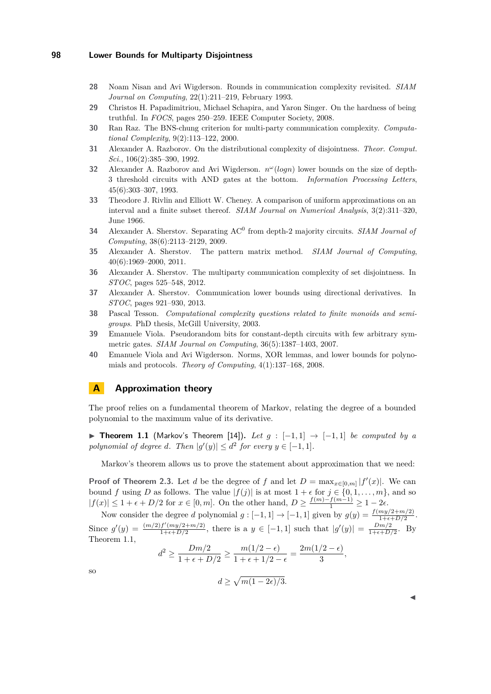- <span id="page-10-3"></span>**28** Noam Nisan and Avi Wigderson. Rounds in communication complexity revisited. *SIAM Journal on Computing*, 22(1):211–219, February 1993.
- <span id="page-10-5"></span>**29** Christos H. Papadimitriou, Michael Schapira, and Yaron Singer. On the hardness of being truthful. In *FOCS*, pages 250–259. IEEE Computer Society, 2008.
- <span id="page-10-0"></span>**30** Ran Raz. The BNS-chung criterion for multi-party communication complexity. *Computational Complexity*, 9(2):113–122, 2000.
- <span id="page-10-6"></span>**31** Alexander A. Razborov. On the distributional complexity of disjointness. *Theor. Comput. Sci.*, 106(2):385–390, 1992.
- <span id="page-10-2"></span>**32** Alexander A. Razborov and Avi Wigderson. *n <sup>ω</sup>*(*logn*) lower bounds on the size of depth-3 threshold circuits with AND gates at the bottom. *Information Processing Letters*, 45(6):303–307, 1993.
- <span id="page-10-12"></span>**33** Theodore J. Rivlin and Elliott W. Cheney. A comparison of uniform approximations on an interval and a finite subset thereof. *SIAM Journal on Numerical Analysis*, 3(2):311–320, June 1966.
- <span id="page-10-8"></span>**34** Alexander A. Sherstov. Separating AC<sup>0</sup> from depth-2 majority circuits. *SIAM Journal of Computing*, 38(6):2113–2129, 2009.
- <span id="page-10-9"></span>**35** Alexander A. Sherstov. The pattern matrix method. *SIAM Journal of Computing*, 40(6):1969–2000, 2011.
- <span id="page-10-10"></span>**36** Alexander A. Sherstov. The multiparty communication complexity of set disjointness. In *STOC*, pages 525–548, 2012.
- <span id="page-10-11"></span>**37** Alexander A. Sherstov. Communication lower bounds using directional derivatives. In *STOC*, pages 921–930, 2013.
- <span id="page-10-7"></span>**38** Pascal Tesson. *Computational complexity questions related to finite monoids and semigroups*. PhD thesis, McGill University, 2003.
- <span id="page-10-4"></span>**39** Emanuele Viola. Pseudorandom bits for constant-depth circuits with few arbitrary symmetric gates. *SIAM Journal on Computing*, 36(5):1387–1403, 2007.
- <span id="page-10-1"></span>**40** Emanuele Viola and Avi Wigderson. Norms, XOR lemmas, and lower bounds for polynomials and protocols. *Theory of Computing*, 4(1):137–168, 2008.

# <span id="page-10-13"></span>**A Approximation theory**

The proof relies on a fundamental theorem of Markov, relating the degree of a bounded polynomial to the maximum value of its derivative.

<span id="page-10-14"></span>**► Theorem 1.1** (Markov's Theorem [\[14\]](#page-9-22)). Let  $g : [-1,1] \rightarrow [-1,1]$  be computed by a *polynomial of degree d. Then*  $|g'(y)| \leq d^2$  *for every*  $y \in [-1, 1]$ *.* 

Markov's theorem allows us to prove the statement about approximation that we need:

**Proof of Theorem [2.3.](#page-4-3)** Let *d* be the degree of *f* and let  $D = \max_{x \in [0,m]} |f'(x)|$ . We can bound *f* using *D* as follows. The value  $|f(j)|$  is at most  $1 + \epsilon$  for  $j \in \{0, 1, \ldots, m\}$ , and so  $|f(x)| \leq 1 + \epsilon + D/2$  for  $x \in [0, m]$ . On the other hand,  $D \geq \frac{f(m) - f(m-1)}{1} \geq 1 - 2\epsilon$ .

Now consider the degree *d* polynomial  $g: [-1,1] \rightarrow [-1,1]$  given by  $g(y) = \frac{f(my/2+m/2)}{1+\epsilon+D/2}$ . Since  $g'(y) = \frac{(m/2)f'(my/2+m/2)}{1+t+D/2}$  $\frac{f'(m y/2 + m/2)}{1 + \epsilon + D/2}$ , there is a  $y \in [-1, 1]$  such that  $|g'(y)| = \frac{Dm/2}{1 + \epsilon + D/2}$  $\frac{Dm/2}{1+\epsilon+D/2}$ . By Theorem [1.1,](#page-10-14)

$$
d^2 \ge \frac{Dm/2}{1+\epsilon+D/2} \ge \frac{m(1/2-\epsilon)}{1+\epsilon+1/2-\epsilon} = \frac{2m(1/2-\epsilon)}{3},
$$

so

$$
d \ge \sqrt{m(1-2\epsilon)/3}.
$$

 $\blacktriangleleft$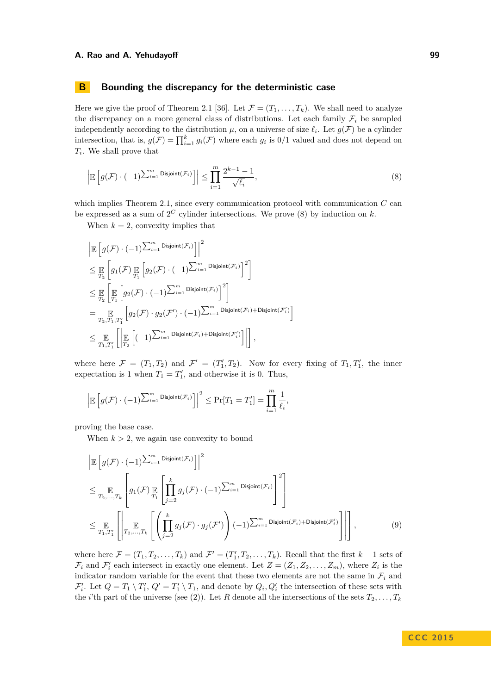# <span id="page-11-0"></span>**B Bounding the discrepancy for the deterministic case**

Here we give the proof of Theorem [2.1](#page-3-0) [\[36\]](#page-10-10). Let  $\mathcal{F} = (T_1, \ldots, T_k)$ . We shall need to analyze the discrepancy on a more general class of distributions. Let each family  $\mathcal{F}_i$  be sampled independently according to the distribution  $\mu$ , on a universe of size  $\ell_i$ . Let  $g(\mathcal{F})$  be a cylinder intersection, that is,  $g(\mathcal{F}) = \prod_{i=1}^{k} g_i(\mathcal{F})$  where each  $g_i$  is  $0/1$  valued and does not depend on *Ti* . We shall prove that

<span id="page-11-1"></span>
$$
\left| \mathbb{E}\left[g(\mathcal{F}) \cdot (-1)^{\sum_{i=1}^{m} \text{Disjoint}(\mathcal{F}_i)}\right] \right| \leq \prod_{i=1}^{m} \frac{2^{k-1} - 1}{\sqrt{\ell_i}},\tag{8}
$$

which implies Theorem [2.1,](#page-3-0) since every communication protocol with communication  $C$  can be expressed as a sum of  $2^C$  cylinder intersections. We prove  $(8)$  by induction on  $k$ .

When  $k = 2$ , convexity implies that

$$
\begin{split} &\left|\mathbb{E}\left[g(\mathcal{F})\cdot(-1)\sum_{i=1}^{m}\mathsf{Disjoint}(\mathcal{F}_{i})\right]\right|^{2}\\ &\leq \mathbb{E}\left[g_{1}(\mathcal{F})\mathop{\mathbb{E}}_{T_{1}}\left[g_{2}(\mathcal{F})\cdot(-1)\sum_{i=1}^{m}\mathsf{Disjoint}(\mathcal{F}_{i})\right]^{2}\right]\\ &\leq \mathop{\mathbb{E}}_{T_{2}}\left[\mathop{\mathbb{E}}_{T_{1}}\left[g_{2}(\mathcal{F})\cdot(-1)\sum_{i=1}^{m}\mathsf{Disjoint}(\mathcal{F}_{i})\right]^{2}\right]\\ &=\mathop{\mathbb{E}}_{T_{2},T_{1},T'_{1}}\left[g_{2}(\mathcal{F})\cdot g_{2}(\mathcal{F}')\cdot(-1)\sum_{i=1}^{m}\mathsf{Disjoint}(\mathcal{F}_{i})+\mathsf{Disjoint}(\mathcal{F}'_{i})\right]\\ &\leq \mathop{\mathbb{E}}_{T_{1},T'_{1}}\left[\left|\mathop{\mathbb{E}}_{T_{2}}\left[(-1)\sum_{i=1}^{m}\mathsf{Disjoint}(\mathcal{F}_{i})+\mathsf{Disjoint}(\mathcal{F}'_{i})\right]\right|\right], \end{split}
$$

where here  $\mathcal{F} = (T_1, T_2)$  and  $\mathcal{F}' = (T'_1, T_2)$ . Now for every fixing of  $T_1, T'_1$ , the inner expectation is 1 when  $T_1 = T_1'$ , and otherwise it is 0. Thus,

$$
\Big|\mathbb{E}\left[g(\mathcal{F})\cdot(-1)^{\sum_{i=1}^m \mathrm{Disjoint}(\mathcal{F}_i)}\right]\Big|^2\leq \Pr[T_1=T_1']=\prod_{i=1}^m \frac{1}{\ell_i},
$$

proving the base case.

When  $k > 2$ , we again use convexity to bound

<span id="page-11-2"></span>
$$
\begin{split}\n&\left|\mathbb{E}\left[g(\mathcal{F})\cdot(-1)^{\sum_{i=1}^{m}\text{Disjoint}(\mathcal{F}_{i})}\right]\right|^{2} \\
&\leq \mathbb{E}_{T_{2},...,T_{k}}\left[g_{1}(\mathcal{F})\mathbb{E}_{T_{1}}\left[\prod_{j=2}^{k}g_{j}(\mathcal{F})\cdot(-1)^{\sum_{i=1}^{m}\text{Disjoint}(\mathcal{F}_{i})}\right]^{2}\right] \\
&\leq \mathbb{E}_{T_{1},T'_{1}}\left[\left|\mathbb{E}_{T_{2},...,T_{k}}\left[\left(\prod_{j=2}^{k}g_{j}(\mathcal{F})\cdot g_{j}(\mathcal{F}')\right)(-1)^{\sum_{i=1}^{m}\text{Disjoint}(\mathcal{F}_{i})+\text{Disjoint}(\mathcal{F}'_{i})}\right]\right|\right],\n\end{split} \tag{9}
$$

where here  $\mathcal{F} = (T_1, T_2, \dots, T_k)$  and  $\mathcal{F}' = (T'_1, T_2, \dots, T_k)$ . Recall that the first  $k-1$  sets of  $\mathcal{F}_i$  and  $\mathcal{F}'_i$  each intersect in exactly one element. Let  $Z = (Z_1, Z_2, \ldots, Z_m)$ , where  $Z_i$  is the indicator random variable for the event that these two elements are not the same in  $\mathcal{F}_i$  and  $\mathcal{F}'_i$ . Let  $Q = T_1 \setminus T'_1$ ,  $Q' = T'_1 \setminus T_1$ , and denote by  $Q_i, Q'_i$  the intersection of these sets with the *i*'th part of the universe (see [\(2\)](#page-2-3)). Let *R* denote all the intersections of the sets  $T_2, \ldots, T_k$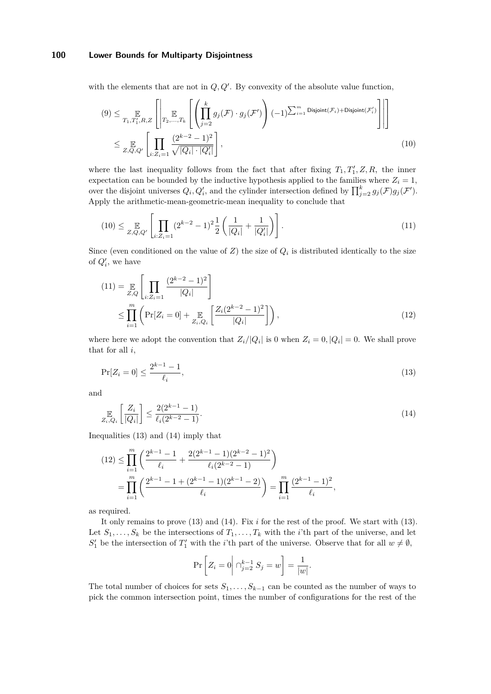with the elements that are not in  $Q, Q'$ . By convexity of the absolute value function,

<span id="page-12-0"></span>
$$
(9) \leq \mathop{\mathbb{E}}_{T_1, T_1', R, Z} \left[ \left| \mathop{\mathbb{E}}_{T_2, \dots, T_k} \left[ \left( \prod_{j=2}^k g_j(\mathcal{F}) \cdot g_j(\mathcal{F}') \right) (-1)^{\sum_{i=1}^m \text{Disjoint}(\mathcal{F}_i) + \text{Disjoint}(\mathcal{F}'_i)} \right] \right| \right]
$$
  

$$
\leq \mathop{\mathbb{E}}_{Z, Q, Q'} \left[ \prod_{i: Z_i = 1} \frac{(2^{k-2} - 1)^2}{\sqrt{|Q_i| \cdot |Q'_i|}} \right],
$$
 (10)

where the last inequality follows from the fact that after fixing  $T_1, T'_1, Z, R$ , the inner expectation can be bounded by the inductive hypothesis applied to the families where  $Z_i = 1$ , over the disjoint universes  $Q_i, Q'_i$ , and the cylinder intersection defined by  $\prod_{j=2}^k g_j(\mathcal{F})g_j(\mathcal{F}')$ . Apply the arithmetic-mean-geometric-mean inequality to conclude that

<span id="page-12-1"></span>
$$
(10) \leq \mathop{\mathbb{E}}_{Z,Q,Q'} \left[ \prod_{i:Z_i=1} (2^{k-2} - 1)^2 \frac{1}{2} \left( \frac{1}{|Q_i|} + \frac{1}{|Q_i'|} \right) \right]. \tag{11}
$$

Since (even conditioned on the value of *Z*) the size of *Q<sup>i</sup>* is distributed identically to the size of  $Q_i'$ , we have

<span id="page-12-4"></span>
$$
(11) = \mathop{\mathbb{E}}_{Z,Q} \left[ \prod_{i: Z_i = 1} \frac{(2^{k-2} - 1)^2}{|Q_i|} \right]
$$
  
 
$$
\leq \prod_{i=1}^m \left( \Pr[Z_i = 0] + \mathop{\mathbb{E}}_{Z_i, Q_i} \left[ \frac{Z_i (2^{k-2} - 1)^2}{|Q_i|} \right] \right), \tag{12}
$$

where here we adopt the convention that  $Z_i/|Q_i|$  is 0 when  $Z_i = 0, |Q_i| = 0$ . We shall prove that for all *i*,

$$
\Pr[Z_i = 0] \le \frac{2^{k-1} - 1}{\ell_i},\tag{13}
$$

and

$$
\mathbb{E}_{i,Q_i} \left[ \frac{Z_i}{|Q_i|} \right] \le \frac{2(2^{k-1}-1)}{\ell_i(2^{k-2}-1)}.
$$
\n(14)

Inequalities [\(13\)](#page-12-2) and [\(14\)](#page-12-3) imply that

$$
(12) \leq \prod_{i=1}^{m} \left( \frac{2^{k-1} - 1}{\ell_i} + \frac{2(2^{k-1} - 1)(2^{k-2} - 1)^2}{\ell_i (2^{k-2} - 1)} \right)
$$
  
= 
$$
\prod_{i=1}^{m} \left( \frac{2^{k-1} - 1 + (2^{k-1} - 1)(2^{k-1} - 2)}{\ell_i} \right) = \prod_{i=1}^{m} \frac{(2^{k-1} - 1)^2}{\ell_i},
$$

as required.

It only remains to prove [\(13\)](#page-12-2) and [\(14\)](#page-12-3). Fix *i* for the rest of the proof. We start with [\(13\)](#page-12-2). Let  $S_1, \ldots, S_k$  be the intersections of  $T_1, \ldots, T_k$  with the *i*'th part of the universe, and let  $S'_1$  be the intersection of  $T'_1$  with the *i*'th part of the universe. Observe that for all  $w \neq \emptyset$ ,

<span id="page-12-3"></span><span id="page-12-2"></span>
$$
\Pr\left[Z_i = 0 \middle| \bigcap_{j=2}^{k-1} S_j = w\right] = \frac{1}{|w|}.
$$

The total number of choices for sets  $S_1, \ldots, S_{k-1}$  can be counted as the number of ways to pick the common intersection point, times the number of configurations for the rest of the